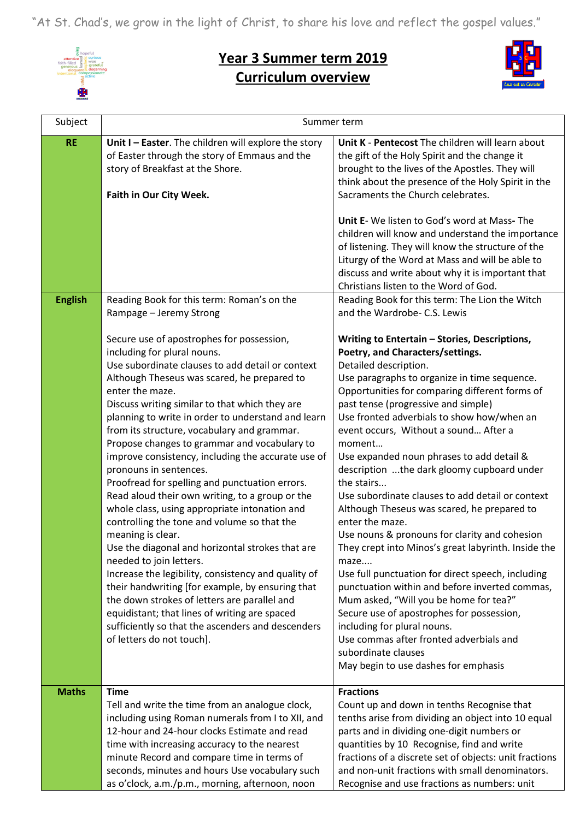"At St. Chad's, we grow in the light of Christ, to share his love and reflect the gospel values."



## **Year 3 Summer term 2019 Curriculum overview**



| Subject        | Summer term                                                                                                                                                                                                                                                                                                                                                                                                                                                                                                                                                                                                                                                                                                                                                                                                                                                                                                                                                                                                                                                                                                                                                           |                                                                                                                                                                                                                                                                                                                                                                                                                                                                                                                                                                                                                                                                                                                                                                                                                                                                                                                                                                                                                                                                                                                              |
|----------------|-----------------------------------------------------------------------------------------------------------------------------------------------------------------------------------------------------------------------------------------------------------------------------------------------------------------------------------------------------------------------------------------------------------------------------------------------------------------------------------------------------------------------------------------------------------------------------------------------------------------------------------------------------------------------------------------------------------------------------------------------------------------------------------------------------------------------------------------------------------------------------------------------------------------------------------------------------------------------------------------------------------------------------------------------------------------------------------------------------------------------------------------------------------------------|------------------------------------------------------------------------------------------------------------------------------------------------------------------------------------------------------------------------------------------------------------------------------------------------------------------------------------------------------------------------------------------------------------------------------------------------------------------------------------------------------------------------------------------------------------------------------------------------------------------------------------------------------------------------------------------------------------------------------------------------------------------------------------------------------------------------------------------------------------------------------------------------------------------------------------------------------------------------------------------------------------------------------------------------------------------------------------------------------------------------------|
| <b>RE</b>      | Unit I - Easter. The children will explore the story<br>of Easter through the story of Emmaus and the<br>story of Breakfast at the Shore.<br>Faith in Our City Week.                                                                                                                                                                                                                                                                                                                                                                                                                                                                                                                                                                                                                                                                                                                                                                                                                                                                                                                                                                                                  | Unit K - Pentecost The children will learn about<br>the gift of the Holy Spirit and the change it<br>brought to the lives of the Apostles. They will<br>think about the presence of the Holy Spirit in the<br>Sacraments the Church celebrates.<br>Unit E- We listen to God's word at Mass-The<br>children will know and understand the importance<br>of listening. They will know the structure of the<br>Liturgy of the Word at Mass and will be able to<br>discuss and write about why it is important that<br>Christians listen to the Word of God.                                                                                                                                                                                                                                                                                                                                                                                                                                                                                                                                                                      |
| <b>English</b> | Reading Book for this term: Roman's on the<br>Rampage - Jeremy Strong<br>Secure use of apostrophes for possession,<br>including for plural nouns.<br>Use subordinate clauses to add detail or context<br>Although Theseus was scared, he prepared to<br>enter the maze.<br>Discuss writing similar to that which they are<br>planning to write in order to understand and learn<br>from its structure, vocabulary and grammar.<br>Propose changes to grammar and vocabulary to<br>improve consistency, including the accurate use of<br>pronouns in sentences.<br>Proofread for spelling and punctuation errors.<br>Read aloud their own writing, to a group or the<br>whole class, using appropriate intonation and<br>controlling the tone and volume so that the<br>meaning is clear.<br>Use the diagonal and horizontal strokes that are<br>needed to join letters.<br>Increase the legibility, consistency and quality of<br>their handwriting [for example, by ensuring that<br>the down strokes of letters are parallel and<br>equidistant; that lines of writing are spaced<br>sufficiently so that the ascenders and descenders<br>of letters do not touch]. | Reading Book for this term: The Lion the Witch<br>and the Wardrobe- C.S. Lewis<br>Writing to Entertain - Stories, Descriptions,<br>Poetry, and Characters/settings.<br>Detailed description.<br>Use paragraphs to organize in time sequence.<br>Opportunities for comparing different forms of<br>past tense (progressive and simple)<br>Use fronted adverbials to show how/when an<br>event occurs, Without a sound After a<br>moment<br>Use expanded noun phrases to add detail &<br>description the dark gloomy cupboard under<br>the stairs<br>Use subordinate clauses to add detail or context<br>Although Theseus was scared, he prepared to<br>enter the maze.<br>Use nouns & pronouns for clarity and cohesion<br>They crept into Minos's great labyrinth. Inside the<br>maze<br>Use full punctuation for direct speech, including<br>punctuation within and before inverted commas,<br>Mum asked, "Will you be home for tea?"<br>Secure use of apostrophes for possession,<br>including for plural nouns.<br>Use commas after fronted adverbials and<br>subordinate clauses<br>May begin to use dashes for emphasis |
| <b>Maths</b>   | <b>Time</b><br>Tell and write the time from an analogue clock,<br>including using Roman numerals from I to XII, and<br>12-hour and 24-hour clocks Estimate and read<br>time with increasing accuracy to the nearest<br>minute Record and compare time in terms of<br>seconds, minutes and hours Use vocabulary such<br>as o'clock, a.m./p.m., morning, afternoon, noon                                                                                                                                                                                                                                                                                                                                                                                                                                                                                                                                                                                                                                                                                                                                                                                                | <b>Fractions</b><br>Count up and down in tenths Recognise that<br>tenths arise from dividing an object into 10 equal<br>parts and in dividing one-digit numbers or<br>quantities by 10 Recognise, find and write<br>fractions of a discrete set of objects: unit fractions<br>and non-unit fractions with small denominators.<br>Recognise and use fractions as numbers: unit                                                                                                                                                                                                                                                                                                                                                                                                                                                                                                                                                                                                                                                                                                                                                |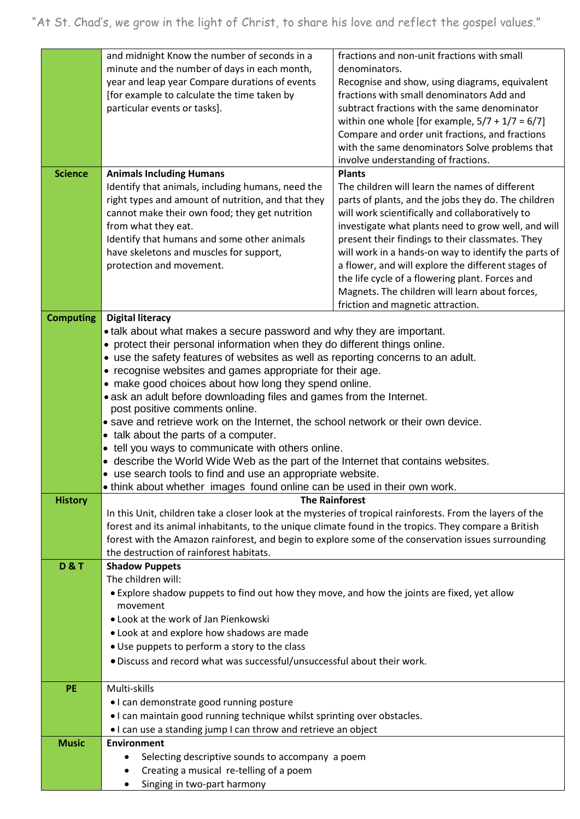| <b>Science</b>   | and midnight Know the number of seconds in a<br>minute and the number of days in each month,<br>year and leap year Compare durations of events<br>[for example to calculate the time taken by<br>particular events or tasks].<br><b>Animals Including Humans</b> | fractions and non-unit fractions with small<br>denominators.<br>Recognise and show, using diagrams, equivalent<br>fractions with small denominators Add and<br>subtract fractions with the same denominator<br>within one whole [for example, $5/7 + 1/7 = 6/7$ ]<br>Compare and order unit fractions, and fractions<br>with the same denominators Solve problems that<br>involve understanding of fractions.<br><b>Plants</b> |  |
|------------------|------------------------------------------------------------------------------------------------------------------------------------------------------------------------------------------------------------------------------------------------------------------|--------------------------------------------------------------------------------------------------------------------------------------------------------------------------------------------------------------------------------------------------------------------------------------------------------------------------------------------------------------------------------------------------------------------------------|--|
|                  | Identify that animals, including humans, need the                                                                                                                                                                                                                | The children will learn the names of different                                                                                                                                                                                                                                                                                                                                                                                 |  |
|                  | right types and amount of nutrition, and that they                                                                                                                                                                                                               | parts of plants, and the jobs they do. The children                                                                                                                                                                                                                                                                                                                                                                            |  |
|                  | cannot make their own food; they get nutrition<br>from what they eat.                                                                                                                                                                                            | will work scientifically and collaboratively to<br>investigate what plants need to grow well, and will                                                                                                                                                                                                                                                                                                                         |  |
|                  | Identify that humans and some other animals                                                                                                                                                                                                                      | present their findings to their classmates. They                                                                                                                                                                                                                                                                                                                                                                               |  |
|                  | have skeletons and muscles for support,                                                                                                                                                                                                                          | will work in a hands-on way to identify the parts of                                                                                                                                                                                                                                                                                                                                                                           |  |
|                  | protection and movement.                                                                                                                                                                                                                                         | a flower, and will explore the different stages of<br>the life cycle of a flowering plant. Forces and                                                                                                                                                                                                                                                                                                                          |  |
|                  |                                                                                                                                                                                                                                                                  | Magnets. The children will learn about forces,                                                                                                                                                                                                                                                                                                                                                                                 |  |
|                  |                                                                                                                                                                                                                                                                  | friction and magnetic attraction.                                                                                                                                                                                                                                                                                                                                                                                              |  |
| <b>Computing</b> | <b>Digital literacy</b><br>• talk about what makes a secure password and why they are important.                                                                                                                                                                 |                                                                                                                                                                                                                                                                                                                                                                                                                                |  |
|                  | • protect their personal information when they do different things online.                                                                                                                                                                                       |                                                                                                                                                                                                                                                                                                                                                                                                                                |  |
|                  | • use the safety features of websites as well as reporting concerns to an adult.                                                                                                                                                                                 |                                                                                                                                                                                                                                                                                                                                                                                                                                |  |
|                  | • recognise websites and games appropriate for their age.                                                                                                                                                                                                        |                                                                                                                                                                                                                                                                                                                                                                                                                                |  |
|                  | • make good choices about how long they spend online.<br>• ask an adult before downloading files and games from the Internet.                                                                                                                                    |                                                                                                                                                                                                                                                                                                                                                                                                                                |  |
|                  | post positive comments online.                                                                                                                                                                                                                                   |                                                                                                                                                                                                                                                                                                                                                                                                                                |  |
|                  | • save and retrieve work on the Internet, the school network or their own device.                                                                                                                                                                                |                                                                                                                                                                                                                                                                                                                                                                                                                                |  |
|                  | • talk about the parts of a computer.<br>• tell you ways to communicate with others online.                                                                                                                                                                      |                                                                                                                                                                                                                                                                                                                                                                                                                                |  |
|                  | • describe the World Wide Web as the part of the Internet that contains websites.                                                                                                                                                                                |                                                                                                                                                                                                                                                                                                                                                                                                                                |  |
|                  | • use search tools to find and use an appropriate website.                                                                                                                                                                                                       |                                                                                                                                                                                                                                                                                                                                                                                                                                |  |
| <b>History</b>   | • think about whether images found online can be used in their own work.                                                                                                                                                                                         | <b>The Rainforest</b>                                                                                                                                                                                                                                                                                                                                                                                                          |  |
|                  | In this Unit, children take a closer look at the mysteries of tropical rainforests. From the layers of the                                                                                                                                                       |                                                                                                                                                                                                                                                                                                                                                                                                                                |  |
|                  | forest and its animal inhabitants, to the unique climate found in the tropics. They compare a British                                                                                                                                                            |                                                                                                                                                                                                                                                                                                                                                                                                                                |  |
|                  | forest with the Amazon rainforest, and begin to explore some of the conservation issues surrounding                                                                                                                                                              |                                                                                                                                                                                                                                                                                                                                                                                                                                |  |
| <b>D&amp;T</b>   | the destruction of rainforest habitats.<br><b>Shadow Puppets</b>                                                                                                                                                                                                 |                                                                                                                                                                                                                                                                                                                                                                                                                                |  |
|                  | The children will:                                                                                                                                                                                                                                               |                                                                                                                                                                                                                                                                                                                                                                                                                                |  |
|                  | • Explore shadow puppets to find out how they move, and how the joints are fixed, yet allow                                                                                                                                                                      |                                                                                                                                                                                                                                                                                                                                                                                                                                |  |
|                  | movement                                                                                                                                                                                                                                                         |                                                                                                                                                                                                                                                                                                                                                                                                                                |  |
|                  | . Look at the work of Jan Pienkowski<br>• Look at and explore how shadows are made                                                                                                                                                                               |                                                                                                                                                                                                                                                                                                                                                                                                                                |  |
|                  | • Use puppets to perform a story to the class                                                                                                                                                                                                                    |                                                                                                                                                                                                                                                                                                                                                                                                                                |  |
|                  | . Discuss and record what was successful/unsuccessful about their work.                                                                                                                                                                                          |                                                                                                                                                                                                                                                                                                                                                                                                                                |  |
| <b>PE</b>        | Multi-skills                                                                                                                                                                                                                                                     |                                                                                                                                                                                                                                                                                                                                                                                                                                |  |
|                  | • I can demonstrate good running posture                                                                                                                                                                                                                         |                                                                                                                                                                                                                                                                                                                                                                                                                                |  |
|                  | . I can maintain good running technique whilst sprinting over obstacles.                                                                                                                                                                                         |                                                                                                                                                                                                                                                                                                                                                                                                                                |  |
|                  | . I can use a standing jump I can throw and retrieve an object                                                                                                                                                                                                   |                                                                                                                                                                                                                                                                                                                                                                                                                                |  |
| <b>Music</b>     | <b>Environment</b>                                                                                                                                                                                                                                               |                                                                                                                                                                                                                                                                                                                                                                                                                                |  |
|                  | Selecting descriptive sounds to accompany a poem<br>Creating a musical re-telling of a poem                                                                                                                                                                      |                                                                                                                                                                                                                                                                                                                                                                                                                                |  |
|                  | Singing in two-part harmony<br>٠                                                                                                                                                                                                                                 |                                                                                                                                                                                                                                                                                                                                                                                                                                |  |